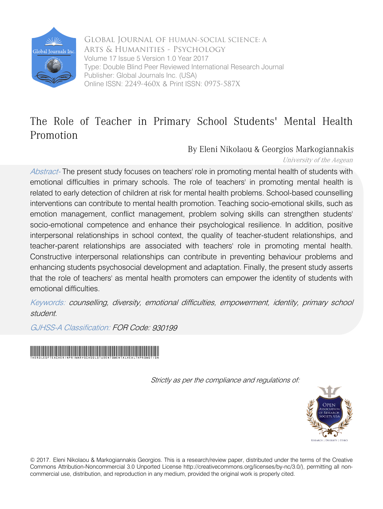

 Online ISSN: 2249-460x & Print ISSN: 0975-587X Global Journal of HUMAN-SOCIAL SCIENCE: A Arts & Humanities - Psychology Type: Double Blind Peer Reviewed International Research Journal Publisher: Global Journals Inc. (USA) Volume 17 Issue 5 Version 1.0 Year 2017

## The Role of Teacher in Primary School Students' Mental Health Promotion

By Eleni Nikolaou & Georgios Markogiannakis

University of the Aegean

Abstract- The present study focuses on teachers' role in promoting mental health of students with emotional difficulties in primary schools. The role of teachers' in promoting mental health is related to early detection of children at risk for mental health problems. School-based counselling interventions can contribute to mental health promotion. Teaching socio-emotional skills, such as emotion management, conflict management, problem solving skills can strengthen students' socio-emotional competence and enhance their psychological resilience. In addition, positive interpersonal relationships in school context, the quality of teacher-student relationships, and teacher-parent relationships are associated with teachers' role in promoting mental health. Constructive interpersonal relationships can contribute in preventing behaviour problems and enhancing students psychosocial development and adaptation. Finally, the present study asserts that the role of teachers' as mental health promoters can empower the identity of students with emotional difficulties.

Keywords: counselling, diversity, emotional difficulties, empowerment, identity, primary school student.

GJHSS-A Classification: FOR Code: 930199



Strictly as per the compliance and regulations of:



© 2017. Eleni Nikolaou & Markogiannakis Georgios. This is a research/review paper, distributed under the terms of the Creative Commons Attribution-Noncommercial 3.0 Unported License http://creativecommons.org/licenses/by-nc/3.0/), permitting all noncommercial use, distribution, and reproduction in any medium, provided the original work is properly cited.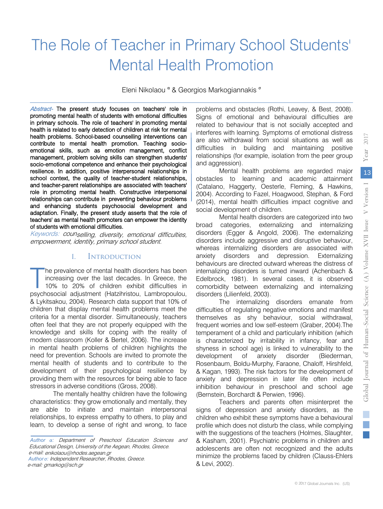2017

# The Role of Teacher in Primary School Students' Mental Health Promotion

Eleni Nikolaou <sup>α</sup> & Georgios Markogiannakis <sup>σ</sup>

 health problems. School-based counselling interventions can emotional skills, such as emotion management, conflict Abstract- The present study focuses on teachers' role in promoting mental health of students with emotional difficulties in primary schools. The role of teachers' in promoting mental health is related to early detection of children at risk for mental contribute to mental health promotion. Teaching sociomanagement, problem solving skills can strengthen students' socio-emotional competence and enhance their psychological resilience. In addition, positive interpersonal relationships in school context, the quality of teacher-student relationships, and teacher-parent relationships are associated with teachers' role in promoting mental health. Constructive interpersonal relationships can contribute in preventing behaviour problems and enhancing students psychosocial development and adaptation. Finally, the present study asserts that the role of teachers' as mental health promoters can empower the identity of students with emotional difficulties.

Keywords: counselling, diversity, emotional difficulties, empowerment, identity, primary school student.

#### I. Introduction

 increasing over the last decades. In Greece, the he prevalence of mental health disorders has been 10% to 20% of children exhibit difficulties in The prevalence of mental health disorders has been increasing over the last decades. In Greece, the 10% to 20% of children exhibit difficulties in psychosocial adjustment (Hatzihristou, Lambropoulou, & Lykitsakou, 2004). Research data support that 10% of children that display mental health problems meet the criteria for a mental disorder. Simultaneously, teachers often feel that they are not properly equipped with the knowledge and skills for coping with the reality of modern classroom (Koller & Bertel, 2006). The increase in mental health problems of children highlights the need for prevention. Schools are invited to promote the mental health of students and to contribute to the development of their psychological resilience by providing them with the resources for being able to face stressors in adverse conditions (Gross, 2008).

The mentally healthy children have the following characteristics: they grow emotionally and mentally, they are able to initiate and maintain interpersonal relationships, to express empathy to others, to play and learn, to develop a sense of right and wrong, to face

*Author α:* Department of Preschool Education Sciences and Educational Design, University of the Aegean, Rhodes, Greece. mail: enikolaou@rhodes.aegean.gr e-*Author σ:* Independent Researcher, Rhodes, Greece. e-mail: gmarkog@sch.gr

problems and obstacles (Rothi, Leavey, & Best, 2008). Signs of emotional and behavioural difficulties are related to behaviour that is not socially accepted and interferes with learning. Symptoms of emotional distress are also withdrawal from social situations as well as difficulties in building and maintaining positive relationships (for example, isolation from the peer group and aggression).

Mental health problems are regarded major obstacles to learning and academic attainment (Catalano, Haggerty, Oesterle, Fleming, & Hawkins, 2004). According to Fazel, Hoagwood, Stephan, & Ford (2014), mental health difficulties impact cognitive and social development of children.

Mental health disorders are categorized into two broad categories, externalizing and internalizing disorders (Egger & Angold, 2006). The externalizing disorders include aggressive and disruptive behaviour, whereas internalizing disorders are associated with anxiety disorders and depression. Externalizing behaviours are directed outward whereas the distress of internalizing disorders is turned inward (Achenbach & Edelbrock, 1981). In several cases, it is observed comorbidity between externalizing and internalizing disorders (Lilienfeld, 2003).

The internalizing disorders emanate from difficulties of regulating negative emotions and manifest themselves as shy behaviour, social withdrawal, frequent worries and low self-esteem (Graber, 2004).The temperament of a child and particularly inhibition (which is characterized by irritability in infancy, fear and shyness in school age) is linked to vulnerability to the development of anxiety disorder (Biederman, Rosenbaum, Boldu-Murphy, Faraone, Chaloff, Hirshfeld, & Kagan, 1993). The risk factors for the development of anxiety and depression in later life often include inhibition behaviour in preschool and school age (Bernstein, Borchardt & Perwien, 1996).

Teachers and parents often misinterpret the signs of depression and anxiety disorders, as the children who exhibit these symptoms have a behavioural profile which does not disturb the class, while complying with the suggestions of the teachers (Holmes, Slaughter, & Kasham, 2001). Psychiatric problems in children and adolescents are often not recognized and the adults minimize the problems faced by children (Clauss-Ehlers & Levi, 2002).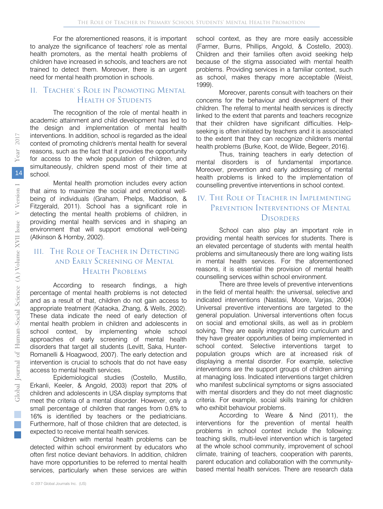For the aforementioned reasons, it is important to analyze the significance of teachers' role as mental health promoters, as the mental health problems of children have increased in schools, and teachers are not trained to detect them. Moreover, there is an urgent need for mental health promotion in schools.

#### II. Teacher' s Role in Promoting Mental Health of Students

The recognition of the role of mental health in academic attainment and child development has led to the design and implementation of mental health interventions. In addition, school is regarded as the ideal context of promoting children's mental health for several reasons, such as the fact that it provides the opportunity for access to the whole population of children, and simultaneously, children spend most of their time at school.

Mental health promotion includes every action that aims to maximize the social and emotional wellbeing of individuals (Graham, Phelps, Maddison, & Fitzgerald, 2011). School has a significant role in detecting the mental health problems of children, in providing mental health services and in shaping an environment that will support emotional well-being (Atkinson & Hornby, 2002).

#### and Early Screening of Mental III. The Role of Teacher in Detecting Health Problems

According to research findings, a high percentage of mental health problems is not detected and as a result of that, children do not gain access to appropriate treatment (Kataoka, Zhang, & Wells, 2002). These data indicate the need of early detection of mental health problem in children and adolescents in school context, by implementing whole school approaches of early screening of mental health disorders that target all students (Levitt, Saka, Hunter-Romanelli & Hoagwood, 2007). The early detection and intervention is crucial to schools that do not have easy access to mental health services.

Epidemiological studies (Costello, Mustillo, Erkanli, Keeler, & Angold, 2003) report that 20% of children and adolescents in USA display symptoms that meet the criteria of a mental disorder. However, only a small percentage of children that ranges from 0,6% to 16% is identified by teachers or the pediatricians. Furthermore, half of those children that are detected, is expected to receive mental health services.

Children with mental health problems can be detected within school environment by educators who often first notice deviant behaviors. In addition, children have more opportunities to be referred to mental health services, particularly when these services are within

school context, as they are more easily accessible (Farmer, Burns, Phillips, Angold, & Costello, 2003). Children and their families often avoid seeking help because of the stigma associated with mental health problems. Providing services in a familiar context, such as school, makes therapy more acceptable (Weist, 1999).

Moreover, parents consult with teachers on their concerns for the behaviour and development of their children. The referral to mental health services is directly linked to the extent that parents and teachers recognize that their children have significant difficulties. Helpseeking is often initiated by teachers and it is associated to the extent that they can recognize children's mental health problems (Burke, Koot, de Wilde, Begeer, 2016).

Thus, training teachers in early detection of mental disorders is of fundamental importance. Moreover, prevention and early addressing of mental health problems is linked to the implementation of counselling preventive interventions in school context.

### IV. The Role of Teacher in Implementing PREVENTION INTERVENTIONS OF MENTAL **DISORDERS**

School can also play an important role in providing mental health services for students. There is an elevated percentage of students with mental health problems and simultaneously there are long waiting lists in mental health services. For the aforementioned reasons, it is essential the provision of mental health counselling services within school environment.

There are three levels of preventive interventions in the field of mental health: the universal, selective and indicated interventions (Nastasi, Moore, Varjas, 2004) Universal preventive interventions are targeted to the general population. Universal interventions often focus on social and emotional skills, as well as in problem solving. They are easily integrated into curriculum and they have greater opportunities of being implemented in school context. Selective interventions target to population groups which are at increased risk of displaying a mental disorder. For example, selective interventions are the support groups of children aiming at managing loss. Indicated interventions target children who manifest subclinical symptoms or signs associated with mental disorders and they do not meet diagnostic criteria. For example, social skills training for children who exhibit behaviour problems.

According to Weare & Nind (2011), the interventions for the prevention of mental health problems in school context include the following: teaching skills, multi-level intervention which is targeted at the whole school community, improvement of school climate, training of teachers, cooperation with parents, parent education and collaboration with the communitybased mental health services. There are research data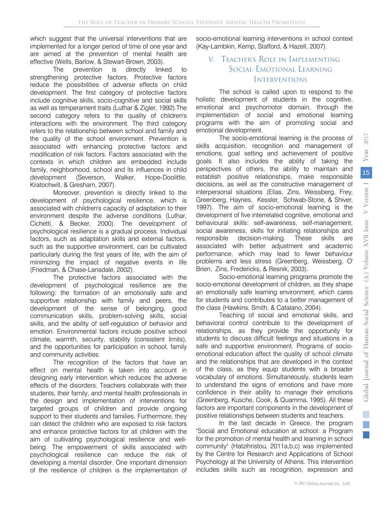which suggest that the universal interventions that are implemented for a longer period of time of one year and are aimed at the prevention of mental health are effective (Wells, Barlow, & Stewart-Brown, 2003).

The prevention is directly linked to strengthening protective factors. Protective factors reduce the possibilities of adverse effects on child development. The first category of protective factors include cognitive skills, socio-cognitive and social skills as well as temperament traits (Luthar & Zigler, 1992).The second category refers to the quality of children's interactions with the environment. The third category refers to the relationship between school and family and the quality of the school environment. Prevention is associated with enhancing protective factors and modification of risk factors. Factors associated with the contexts in which children are embedded include family, neighborhood, school and its influences in child development (Severson, Walker, Hope-Doolittle, Kratochwill, & Gresham, 2007).

Moreover, prevention is directly linked to the development of psychological resilience, which is associated with children's capacity of adaptation to their environment despite the adverse conditions (Luthar, Cichetti, & Becker, 2000). The development of psychological resilience is a gradual process. Individual factors, such as adaptation skills and external factors, such as the supportive environment, can be cultivated particularly during the first years of life, with the aim of minimizing the impact of negative events in life (Friedman, & Chase-Lansdale, 2002).

The protective factors associated with the development of psychological resilience are the following: the formation of an emotionally safe and supportive relationship with family and peers, the development of the sense of belonging, good communication skills, problem-solving skills, social skills, and the ability of self-regulation of behavior and emotion. Environmental factors include positive school climate, warmth, security, stability (consistent limits), and the opportunities for participation in school, family and community activities.

The recognition of the factors that have an effect on mental health is taken into account in designing early intervention which reduces the adverse effects of the disorders. Teachers collaborate with their students, their family, and mental health professionals in the design and implementation of interventions for targeted groups of children and provide ongoing support to their students and families. Furthermore, they can detect the children who are exposed to risk factors and enhance protective factors for all children with the aim of cultivating psychological resilience and wellbeing. The empowerment of skills associated with psychological resilience can reduce the risk of developing a mental disorder. One important dimension of the resilience of children is the implementation of

socio-emotional learning interventions in school context (Kay-Lambkin, Kemp, Stafford, & Hazell, 2007).

### V. Teacher's Role in Implementing Social-Emotional Learning **INTERVENTIONS**

The school is called upon to respond to the holistic development of students in the cognitive, emotional and psychomotor domain, through the implementation of social and emotional learning programs with the aim of promoting social and emotional development.

The socio-emotional learning is the process of skills acquisition, recognition and management of emotions, goal setting and achievement of positive goals. It also includes the ability of taking the perspectives of others, the ability to maintain and establish positive relationships, make responsible decisions, as well as the constructive management of interpersonal situations (Elias, Zins, Weissberg, Frey, Greenberg, Haynes, Kessler, Schwab-Stone, & Shiver, 1997). The aim of socio-emotional learning is the development of five interrelated cognitive, emotional and behavioural skills: self-awareness, self-management, social awareness, skills for initiating relationships and responsible decision-making. These skills are associated with better adjustment and academic performance, which may lead to fewer behaviour problems and less stress (Greenberg, Weissberg, O' Brien, Zins, Fredericks, & Resnik, 2003).

 socio-emotional development of children, as they shape Socio-emotional learning programs promote the an emotionally safe learning environment, which cares for students and contributes to a better management of the class (Hawkins, Smith, & Catalano, 2004).

Teaching of social and emotional skills, and behavioral control contribute to the development of relationships, as they provide the opportunity for students to discuss difficult feelings and situations in a safe and supportive environment. Programs of socioemotional education affect the quality of school climate and the relationships that are developed in the context of the class, as they equip students with a broader vocabulary of emotions. Simultaneously, students learn to understand the signs of emotions and have more confidence in their ability to manage their emotions (Greenberg, Kusche, Cook, & Quamma, 1995). All these factors are important components in the development of positive relationships between students and teachers.

In the last decade in Greece, the program "Social and Emotional education at school: a Program for the promotion of mental health and learning in school community" (Hatzihristou, 2011a,b,c) was implemented by the Centre for Research and Applications of School Psychology at the University of Athens. This intervention includes skills such as recognition, expression and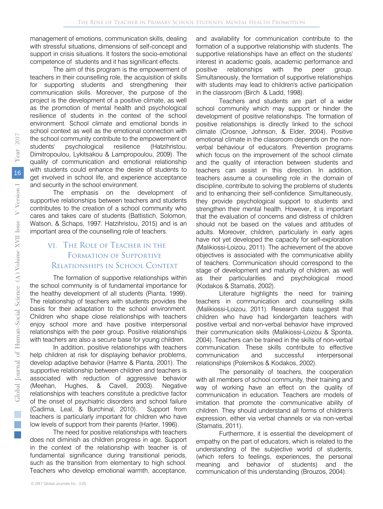management of emotions, communication skills, dealing with stressful situations, dimensions of self-concept and support in crisis situations. It fosters the socio-emotional competence of students and it has significant effects.

The aim of this program is the empowerment of teachers in their counselling role, the acquisition of skills for supporting students and strengthening their communication skills. Moreover, the purpose of the project is the development of a positive climate, as well as the promotion of mental health and psychological resilience of students in the context of the school environment. School climate and emotional bonds in school context as well as the emotional connection with the school community contribute to the empowerment of students' psychological resilience (Hatzihristou, Dimitropoulou, Lykitsakou & Lampropoulou, 2009). The quality of communication and emotional relationship with students could enhance the desire of students to get involved in school life, and experience acceptance and security in the school environment.

The emphasis on the development of supportive relationships between teachers and students contributes to the creation of a school community who cares and takes care of students (Battistich, Solomon, Watson, & Schaps, 1997. Hatzihristou, 2015) and is an important area of the counselling role of teachers.

#### Relationships in School Context VI. The Role of Teacher in the Formation of Supportive

The formation of supportive relationships within the school community is of fundamental importance for the healthy development of all students (Pianta, 1999). The relationship of teachers with students provides the basis for their adaptation to the school environment. Children who shape close relationships with teachers enjoy school more and have positive interpersonal relationships with the peer group. Positive relationships with teachers are also a secure base for young children.

In addition, positive relationships with teachers help children at risk for displaying behavior problems, develop adaptive behavior (Hamre & Pianta, 2001). The supportive relationship between children and teachers is associated with reduction of aggressive behavior (Meehan, Hughes, & Cavell, 2003). Negative relationships with teachers constitute a predictive factor of the onset of psychiatric disorders and school failure (Cadima, Leal, & Burchinal, 2010). Support from teachers is particularly important for children who have low levels of support from their parents (Harter, 1996).

The need for positive relationships with teachers does not diminish as children progress in age. Support in the context of the relationship with teacher is of fundamental significance during transitional periods, such as the transition from elementary to high school. Teachers who develop emotional warmth, acceptance,

and availability for communication contribute to the formation of a supportive relationship with students. The supportive relationships have an effect on the students' interest in academic goals, academic performance and positive relationships with the peer group. Simultaneously, the formation of supportive relationships with students may lead to children's active participation in the classroom (Birch & Ladd, 1998).

Teachers and students are part of a wider school community which may support or hinder the development of positive relationships. The formation of positive relationships is directly linked to the school climate (Crosnoe, Johnson, & Elder, 2004). Positive emotional climate in the classroom depends on the nonverbal behaviour of educators. Prevention programs which focus on the improvement of the school climate and the quality of interaction between students and teachers can assist in this direction. In addition, teachers assume a counselling role in the domain of discipline, contribute to solving the problems of students and to enhancing their self-confidence. Simultaneously, they provide psychological support to students and strengthen their mental health. However, it is important that the evaluation of concerns and distress of children should not be based on the values and attitudes of adults. Moreover, children, particularly in early ages have not yet developed the capacity for self-exploration (Malikiossi-Loizou, 2011). The achievement of the above objectives is associated with the communicative ability of teachers. Communication should correspond to the stage of development and maturity of children, as well as their particularities and psychological mood (Kodakos & Stamatis, 2002).

Literature highlights the need for training teachers in communication and counselling skills (Malikiossi-Loizou, 2011). Research data suggest that children who have had kindergarten teachers with positive verbal and non-verbal behavior have improved their communication skills (Malikiossi-Loizou & Sponta, 2004). Teachers can be trained in the skills of non-verbal communication. These skills contribute to effective communication and successful interpersonal relationships (Polemikos & Kodakos, 2002).

The personality of teachers, the cooperation with all members of school community, their training and way of working have an effect on the quality of communication in education. Teachers are models of imitation that promote the communicative ability of children. They should understand all forms of children's expression, either via verbal channels or via non-verbal (Stamatis, 2011).

Furthermore, it is essential the development of empathy on the part of educators, which is related to the understanding of the subjective world of students, (which refers to feelings, experiences, the personal meaning and behavior of students) and the communication of this understanding (Brouzos, 2004).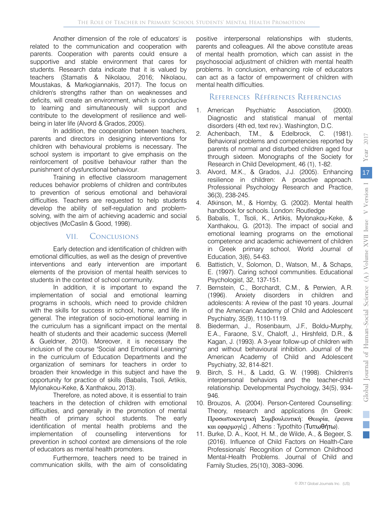Another dimension of the role of educators' is related to the communication and cooperation with parents. Cooperation with parents could ensure a supportive and stable environment that cares for students. Research data indicate that it is valued by teachers (Stamatis & Nikolaou, 2016; Nikolaou, Moustakas, & Markogiannakis, 2017). The focus on children's strengths rather than on weaknesses and deficits, will create an environment, which is conducive to learning and simultaneously will support and contribute to the development of resilience and wellbeing in later life (Alvord & Grados, 2005).

In addition, the cooperation between teachers, parents and directors in designing interventions for children with behavioural problems is necessary. The school system is important to give emphasis on the reinforcement of positive behaviour rather than the punishment of dysfunctional behaviour.

Training in effective classroom management reduces behavior problems of children and contributes to prevention of serious emotional and behavioral difficulties. Teachers are requested to help students develop the ability of self-regulation and problemsolving, with the aim of achieving academic and social objectives (McCaslin & Good, 1998).

#### VII. Conclusions

Early detection and identification of children with emotional difficulties, as well as the design of preventive interventions and early intervention are important elements of the provision of mental health services to students in the context of school community.

In addition, it is important to expand the implementation of social and emotional learning programs in schools, which need to provide children with the skills for success in school, home, and life in general. The integration of socio-emotional learning in the curriculum has a significant impact on the mental health of students and their academic success (Merrell & Gueldner, 2010). Moreover, it is necessary the inclusion of the course "Social and Emotional Learning" in the curriculum of Education Departments and the organization of seminars for teachers in order to broaden their knowledge in this subject and have the opportunity for practice of skills (Babalis, Tsoli, Artikis, Mylonakou-Keke, & Xanthakou, 2013).

Therefore, as noted above, it is essential to train teachers in the detection of children with emotional difficulties, and generally in the promotion of mental health of primary school students. The early identification of mental health problems and the implementation of counselling interventions for prevention in school context are dimensions of the role of educators as mental health promoters.

Furthermore, teachers need to be trained in communication skills, with the aim of consolidating

positive interpersonal relationships with students, parents and colleagues. All the above constitute areas of mental health promotion, which can assist in the psychosocial adjustment of children with mental health problems. In conclusion, enhancing role of educators can act as a factor of empowerment of children with mental health difficulties.

#### References Références Referencias

- 1. American Psychiatric Association, (2000). Diagnostic and statistical manual of mental disorders (4th ed, text rev.). Washington, D.C.
- 2. Achenbach, T.M., & Edelbrock, C. (1981). Behavioral problems and competencies reported by parents of normal and disturbed children aged four through sixteen. Monographs of the Society for Research in Child Development, 46 (1), 1-82.
- 3. Alvord, M.K., & Grados, J.J. (2005). Enhancing resilience in children: A proactive approach. Professional Psychology Research and Practice, 36(3), 238-245.
- 4. Atkinson, M., & Hornby, G. (2002). Mental health handbook for schools. London: Routledge
- 5. Babalis, T., Tsoli, K., Artikis, Mylonakou-Keke, & Xanthakou, G. (2013). The impact of social and emotional learning programs on the emotional competence and academic achievement of children in Greek primary school, World Journal of Education, 3(6), 54-63.
- 6. Battistich, V., Solomon, D., Watson, M., & Schaps, E. (1997). Caring school communities. Educational Psychologist, 32, 137-151.
- 7. Bernstein, C., Borchardt, C.M., & Perwien, A.R. (1996). Anxiety disorders in children and adolescents: A review of the past 10 years. Journal of the American Academy of Child and Adolescent Psychiatry, 35(9), 1110-1119.
- 8. Biederman, J., Rosenbaum, J.F., Boldu-Murphy, E.A., Faraone, S.V., Chaloff, J., Hirshfeld, D.R., & Kagan, J. (1993). A 3-year follow-up of children with and without behavioural inhibition. Journal of the American Academy of Child and Adolescent Psychiatry, 32, 814-821.
- 9. Birch, S. H., & Ladd, G. W. (1998). Children's interpersonal behaviors and the teacher-child relationship. Developmental Psychology, 34(5), 934- 946.
- 10. Brouzos, A. (2004). Person-Centered Counselling: Theory, research and applications (In Greek: Προσωποκεντρική Συμβουλευτική: Θεωρία, έρευνα και εφαρμογές) , Athens : Typothito (Τυπωθήτω).
- 11. Burke, D. A., Koot, H. M., de Wilde, A., & Begeer, S. (2016). Influence of Child Factors on Health-Care Professionals' Recognition of Common Childhood Mental-Health Problems. Journal of Child and Family Studies, 25(10), 3083–3096.

2017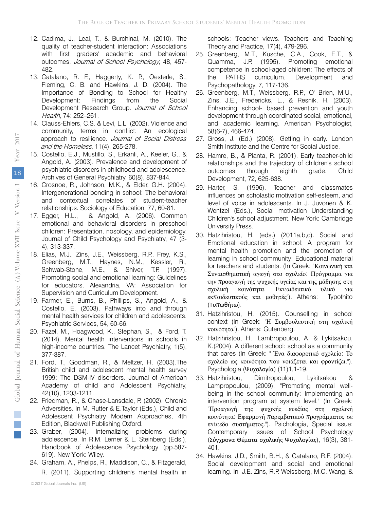- 12. Cadima, J., Leal, T., & Burchinal, M. (2010). The quality of teacher-student interaction: Associations with first graders' academic and behavioral outcomes. Journal of School Psychology, 48, 457- 482.
- 13. Catalano, R. F., Haggerty, K. P., Oesterle, S., Fleming, C. B. and Hawkins, J. D. (2004). The Importance of Bonding to School for Healthy Development: [Findings from](https://www.ncbi.nlm.nih.gov/pubmed/?term=Haggerty%20KP%5BAuthor%5D&cauthor=true&cauthor_uid=15493702) the Social Development Research Group. Journal of School Health, 74: 252–261.
- 14. Clauss-Ehlers, C.S. & Levi, L.L. (2002). Violence and community, terms in conflict: An ecological approach to resilience. Journal of Social Distress and the Homeless, 11(4), 265-278.
- 15. Costello, E.J., Mustillo, S., Erkanli, A., Keeler, G., & Angold, A. (2003). Prevalence and development of psychiatric disorders in childhood and adolescence. Archives of General Psychiatry, 60(8), 837-844.
- 16. Crosnoe, R., Johnson, M.K., & Elder, G.H. (2004). Intergenerational bonding in school: Τhe behavioral and contextual correlates of student-teacher relationships. Sociology of Education, 77, 60-81.
- 17. Egger, H.L., & Angold, A. (2006). Common emotional and behavioral disorders in preschool children: Presentation, nosology, and epidemiology. Journal of Child Psychology and Psychiatry, 47 (3- 4), 313-337.
- 18. Elias, M.J., Zins, J.E., Weissberg, R.P., Frey, K.S., Greenberg, M.T., Haynes, N.M., Kessler, R., Schwab-Stone, M.E., & Shiver, T.P. (1997). Promoting social and emotional learning: Guidelines for educators. Alexandria, VA: Association for Supervision and Curriculum Development.
- 19. Farmer, E., Burns, B., Phillips, S., Angold, A., & Costello, E. (2003). Pathways into and through mental health services for children and adolescents. Psychiatric Services, 54, 60-66.
- 20. Fazel, M., Hoagwood, K., Stephan, S., & Ford, T. (2014). Mental health interventions in schools in high-income countries. The Lancet Psychiatry, 1(5), 377-387.
- 21. Ford, T., Goodman, R., & Meltzer, H. (2003).The British child and adolescent mental health survey 1999: The DSM-IV disorders. Journal of American Academy of child and Adolescent Psychiatry, 42(10), 1203-1211.
- 22. Friedman, R., & Chase-Lansdale, P. (2002). Chronic Adversities. In M. Rutter & E.Taylor (Eds.), Child and Adolescent Psychiatry Modern Approaches, 4th Edition, Blackwell Publishing Oxford.
- 23. Graber, (2004). Internalizing problems during adolescence. In R.M. Lerner & L. Steinberg (Eds.), Handbook of Adolescence Psychology (pp.587- 619). New Υork: Wiley.
- 24. Graham, A., Phelps, R., Maddison, C., & Fitzgerald, R. (2011). Supporting children's mental health in

schools: Τeacher views. Teachers and Teaching Theory and Practice, 17(4), 479-296.

- 25. Greenberg, M.T., Kusche, C.A., Cook, E.T., & Quamma, J.P. (1995). Promoting emotional competence in school-aged children: The effects of the PATHS curriculum. Development and Psychopathology, 7, 117-136.
- 26. Greenberg, M.T., Weissberg, R.P., O' Brien, M.U., Zins, J.E., Fredericks, L., & Resnik, H. (2003). Enhancing school- based prevention and youth development through coordinated social, emotional, and academic learning. American Psychologist, 58(6-7), 466-474.
- 27. Gross, J. (Ed.) (2008). Getting in early. London Smith Institute and the Centre for Social Justice.
- 28. Hamre, B., & Pianta, R. (2001). Early teacher-child relationships and the trajectory of children's school outcomes through eighth grade. Child Development, 72, 625-638.
- 29. Harter, S. (1996). Teacher and classmates influences on scholastic motivation self-esteem, and level of voice in adolescents. In J. Juvonen & K. Wentzel (Eds.), Social motivation Understanding Children's school adjustment. New York: Cambridge University Press.
- την προαγωγή της ψυχικής υγείας και της μάθησης στη εκπαιδευτικούς και μαθητές"). Athens: Typothito (Τυπωθήτω). 30. Hatzihristou, H. (eds.) (2011a,b,c). Social and Emotional education in school: A program for mental health promotion and the promotion of learning in school community: Educational material for teachers and students. (In Greek: "Κοινωνική και Συναισθηματική αγωγή στο σχολείο: Πρόγραμμα για σχολική κοινότητα. Εκπαιδευτικό υλικό για
- 31. Hatzihristou, H. (2015). Counselling in school context (In Greek: "Η Συμβουλευτική στη σχολική κοινότητα"). Athens: Gutenberg.
- 32. Hatzihristou, H., Lambropoulou, A. & Lykitsakou, K.(2004). A different school: school as a community that cares (In Greek: " Ένα διαφορετικό σχολείο: Το σχολείο ως κοινότητα που νοιάζεται και φροντίζει."). Psychologia (Ψυχολογία) (11)1,1-19.
- 33. Hatzihristou, Dimitropoulou, Lykitsakou & επίπεδο συστήματος."). Psichologia, Special issue: Contemporary Issues of School Psychology Lampropoulou, (2009). "Promoting mental wellbeing in the school community: Implementing an intervention program at system level." (In Greek: "Προαγωγή της ψυχικής ευεξίας στη σχολική κοινότητα: Εφαρμογή παρεμβατικού προγράμματος σε (Σύγχρονα Θέματα σχολικής Ψυχολογίας), 16(3), 381- 401.
- 34. Hawkins, J.D., Smith, B.H., & Catalano, R.F. (2004). Social development and social and emotional learning. In J.E. Zins, R.P. Weissberg, M.C. Wang, &

 $\mathbb{R}^3$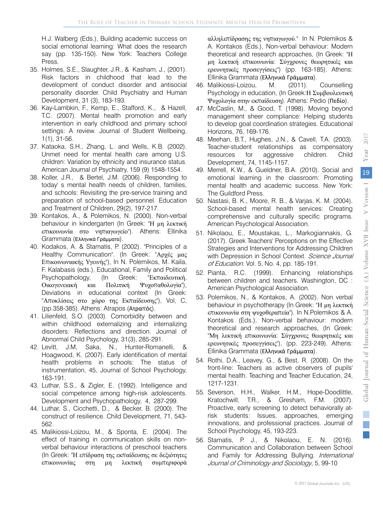H.J. Walberg (Eds.), Building academic success on social emotional learning: What does the research say (pp. 135-150). New York: Teachers College Press.

- 35. Holmes, S.E., Slaughter, J.R., & Kasham, J., (2001). Risk factors in childhood that lead to the development of conduct disorder and antisocial personality disorder. Child Psychiatry and Human Development, 31 (3), 183-193.
- 36. Kay-Lambkin, F., Kemp, E., Stafford, K., & Hazell, T.C. (2007). Mental health promotion and early intervention in early childhood and primary school settings: A review. Journal of Student Wellbeing, 1(1), 31-56.
- 37. Kataoka, S.H., Zhang, L. and Wells, K.B. (2002). Unmet need for mental health care among U.S. children: Variation by ethnicity and insurance status. American Journal of Psychiatry, 159 (9) 1548-1554.
- 38. Koller, J.R., & Bertel, J.M. (2006). Responding to today' s mental health needs of children, families, and schools: Revisiting the pre-service training and preparation of school-based personnel. Education and Treatment of Children, 29(2), 197-217.
- 39. Kontakos, A., & Polemikos, N. (2000). Non-verbal behaviour in kindergarten (In Greek: "Η μη λεκτική επικοινωνία στο νηπιαγωγείο"). Athens: Ellinika Grammata (Ελληνικά Γράμματα).
- 40. Kodakos, A. & Stamatis, P. (2002). "Principles of a "Εκπαιδευτική, (pp.358-385). Athens: Atrapos (Ατραπός). Healthy Communication". (In Greek: "Αρχές μας Επικοινωνιακής Υγεινής"), In N. Polemikos, M. Kaila, F. Kalabasis (eds.), Educational, Family and Political Psychopathology, (In Greek: Οικογενειακή και Πολιτική Ψυχοπαθολογία"), Deviations in educational context (In Greek: "Αποκλίσεις στο χώρο της Εκπαίδευσης"), Vol, C,
- within childhood externalizing and internalizing 41. Lilienfeld, S.O. (2003). Comorbidity between and disorders: Reflections and direction. Journal of Abnormal Child Psychology, 31(3), 285-291.
- 42. Levitt, J.M, Saka, N., Hunter-Romanelli, & Hoagwood, K. (2007). Early identification of mental health problems in schools: The status of instrumentation, 45, Journal of School Psychology, 163-191.
- 43. Luthar, S.S., & Zigler, E. (1992). Intelligence and social competence among high-risk adolescents. Development and Psychopathology, 4, 287-299.
- 44. Luthar, S., Cicchetti, D., & Becker, B. (2000). The construct of resilience. Child Development, 71, 543- 562.
- 45. Malikiossi-Loizou, M., & Sponta, E. (2004). The effect of training in communication skills on nonverbal behaviour interactions of preschool teachers (In Greek: "Η επίδραση της εκπαίδευσης σε δεξιότητες επικοινωνίας στη μη λεκτική συμπεριφορά

 αλληλεπίδρασης της νηπιαγωγού." In N. Polemikos & A. Kontakos (Eds.), Non-verbal behaviour: Modern theoretical and research approaches, (In Greek: "Η Ellinika Grammata (Ελληνικά Γράμματα). μη λεκτική επικοινωνία: Σύγχρονες θεωρητικές και ερευνητικές προσεγγίσεις") (pp. 163-185). Athens:

- 46. Malikiossi-Loizou, M. (2011). Counselling Psychology in education, (In Greek:Η Συμβουλευτική Ψυχολογία στην εκπαίδευση). Athens: Pedio (Πεδίο).
- management sheer compliance: Helping students 47. McCaslin, M., & Good, T. (1998). Moving beyond to develop goal coordination strategies. Educational Horizons, 76, 169-176.
- 48. Meehan, B.T., Hughes, J.N., & Cavell, T.A. (2003). Teacher-student relationships as compensatory resources for aggressive children. Child Development, 74, 1145-1157.
- 49. Merrell, K.W., & Gueldner, B.A. (2010). Social and emotional learning in the classroom: Promoting mental health and academic success. New York: The Guildford Press.
- 50. Nastasi, B. K., Moore, R. B., & Varjas, K. M. (2004). School-based mental health services: Creating comprehensive and culturally specific programs. American Psychological Association.
- 51. Nikolaou, E., Moustakas, L., Markogiannakis, G. (2017). Greek Teachers' Perceptions on the Effective Strategies and Interventions for Addressing Children with Depression in School Context. Science Journal of Education. Vol. 5, No. 4, pp. 185-191.
- 52. Pianta, R.C. (1999). Enhancing relationships between children and teachers. Washington, DC : American Psychological Association.
- Kontakos (Eds.), Non-verbal behaviour: modern theoretical and research approaches, (In Greek: ερευνήτικες προσεγγισεις ), (pp. 220 2<br>Ellinika Grammata (Ε<mark>λληνικά Γράμματα</mark>). 53. Polemikos, N., & Kontakos, A. (2002). Non verbal behaviour in psychotherapy (In Greek: "Η μη λεκτική επικοινωνία στη ψυχοθεραπεία"). In N.Polemikos & A. "Μη λεκτική επικοινωνία: Σύγχρονες θεωρητικές και ερευνητικές προσεγγίσεις"), (pp. 223-249). Athens:
- 54. Rothi, D.A., Leavey, G., & Best, R. (2008). On the front-line: Teachers as active observers of pupils' mental health. Teaching and Teacher Education, 24, 1217-1231.
- 55. Severson, H.H., Walker, H.M., Hope-Doodlittle, Kratochwill, T.R., & Gresham, F.M. (2007). Proactive, early screening to detect behaviorally atrisk students: Issues, approaches, emerging innovations, and professional practices. Journal of School Psychology, 45, 193-223.
- 56. Stamatis, P. J., & Nikolaou, E. N. (2016). Communication and Collaboration between School and Family for Addressing Bullying. International Journal of Criminology and Sociology, 5, 99-10